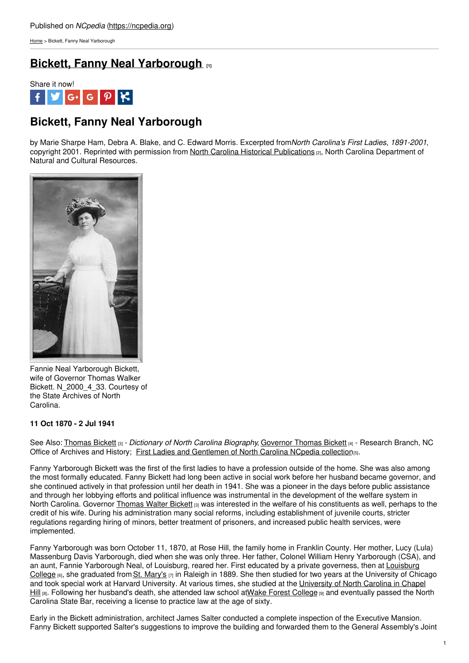[Home](https://ncpedia.org/) > Bickett, Fanny Neal Yarborough

# **Bickett, Fanny Neal [Yarborough](https://ncpedia.org/bickett-fanny-neal-yarborough) [1]**



## **Bickett, Fanny Neal Yarborough**

by Marie Sharpe Ham, Debra A. Blake, and C. Edward Morris. Excerpted from*North Carolina's First Ladies, 1891-2001*, copyright 2001. Reprinted with permission from North Carolina Historical [Publications](https://www.ncdcr.gov/about/history/historical-publications) [2], North Carolina Department of Natural and Cultural Resources.



Fannie Neal Yarborough Bickett, wife of Governor Thomas Walker Bickett. N\_2000\_4\_33. Courtesy of the State Archives of North Carolina.

### **11 Oct 1870 - 2 Jul 1941**

See Also: [Thomas](https://ncpedia.org/biography/bickett-thomas-walter) Bickett [3] - *Dictionary of North Carolina Biography*, [Governor](https://ncpedia.org/bickett-thomas-walter-research) Thomas Bickett [4] - Research Branch, NC Office of Archives and History; First Ladies and [Gentlemen](http://www.ncpedia.org/node/12179/) of North Carolina NCpedia collection(5).

Fanny Yarborough Bickett was the first of the first ladies to have a profession outside of the home. She was also among the most formally educated. Fanny Bickett had long been active in social work before her husband became governor, and she continued actively in that profession until her death in 1941. She was a pioneer in the days before public assistance and through her lobbying efforts and political influence was instrumental in the development of the welfare system in North Carolina. Governor [Thomas](https://ncpedia.org/biography/bickett-thomas-walter) Walter Bickett [3] was interested in the welfare of his constituents as well, perhaps to the credit of his wife. During his administration many social reforms, including establishment of juvenile courts, stricter regulations regarding hiring of minors, better treatment of prisoners, and increased public health services, were implemented.

Fanny Yarborough was born October 11, 1870, at Rose Hill, the family home in Franklin County. Her mother, Lucy (Lula) Massenburg Davis Yarborough, died when she was only three. Her father, Colonel William Henry Yarborough (CSA), and an aunt, Fannie [Yarborough](https://ncpedia.org/louisburg-college) Neal, of Louisburg, reared her. First educated by a private governess, then at Louisburg College  $_{[6]}$ , she graduated from St. [Mary's](https://ncpedia.org/saint-marys-school)  $_{[7]}$  in Raleigh in 1889. She then studied for two years at the University of Chicago and took special work at Harvard [University.](https://ncpedia.org/university-north-carolina-chapel-hi) At various times, she studied at the University of North Carolina in Chapel Hill [8]. Following her husband's death, she attended law school atWake Forest [College](https://ncpedia.org/wake-forest-university) [9] and eventually passed the North Carolina State Bar, receiving a license to practice law at the age of sixty.

Early in the Bickett administration, architect James Salter conducted a complete inspection of the Executive Mansion. Fanny Bickett supported Salter's suggestions to improve the building and forwarded them to the General Assembly's Joint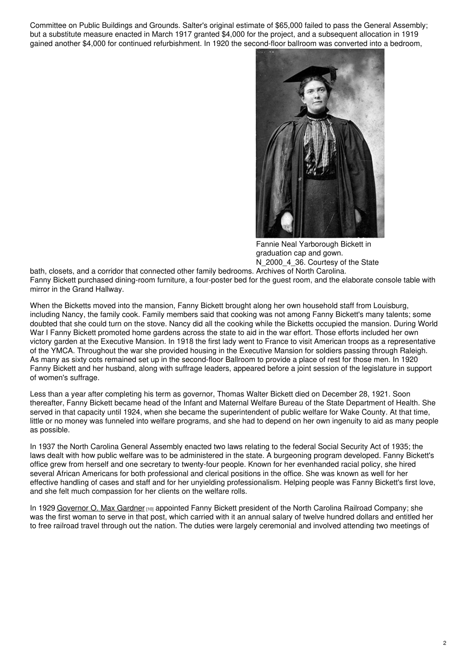Committee on Public Buildings and Grounds. Salter's original estimate of \$65,000 failed to pass the General Assembly; but a substitute measure enacted in March 1917 granted \$4,000 for the project, and a subsequent allocation in 1919 gained another \$4,000 for continued refurbishment. In 1920 the second-floor ballroom was converted into a bedroom,



Fannie Neal Yarborough Bickett in graduation cap and gown. N 2000 4 36. Courtesy of the State

bath, closets, and a corridor that connected other family bedrooms. Archives of North Carolina. Fanny Bickett purchased dining-room furniture, a four-poster bed for the guest room, and the elaborate console table with mirror in the Grand Hallway.

When the Bicketts moved into the mansion, Fanny Bickett brought along her own household staff from Louisburg, including Nancy, the family cook. Family members said that cooking was not among Fanny Bickett's many talents; some doubted that she could turn on the stove. Nancy did all the cooking while the Bicketts occupied the mansion. During World War I Fanny Bickett promoted home gardens across the state to aid in the war effort. Those efforts included her own victory garden at the Executive Mansion. In 1918 the first lady went to France to visit American troops as a representative of the YMCA. Throughout the war she provided housing in the Executive Mansion for soldiers passing through Raleigh. As many as sixty cots remained set up in the second-floor Ballroom to provide a place of rest for those men. In 1920 Fanny Bickett and her husband, along with suffrage leaders, appeared before a joint session of the legislature in support of women's suffrage.

Less than a year after completing his term as governor, Thomas Walter Bickett died on December 28, 1921. Soon thereafter, Fanny Bickett became head of the Infant and Maternal Welfare Bureau of the State Department of Health. She served in that capacity until 1924, when she became the superintendent of public welfare for Wake County. At that time, little or no money was funneled into welfare programs, and she had to depend on her own ingenuity to aid as many people as possible.

In 1937 the North Carolina General Assembly enacted two laws relating to the federal Social Security Act of 1935; the laws dealt with how public welfare was to be administered in the state. A burgeoning program developed. Fanny Bickett's office grew from herself and one secretary to twenty-four people. Known for her evenhanded racial policy, she hired several African Americans for both professional and clerical positions in the office. She was known as well for her effective handling of cases and staff and for her unyielding professionalism. Helping people was Fanny Bickett's first love, and she felt much compassion for her clients on the welfare rolls.

In 1929 [Governor](https://ncpedia.org/biography/gardner-oliver-maxwell-o) O. Max Gardner [10] appointed Fanny Bickett president of the North Carolina Railroad Company; she was the first woman to serve in that post, which carried with it an annual salary of twelve hundred dollars and entitled her to free railroad travel through out the nation. The duties were largely ceremonial and involved attending two meetings of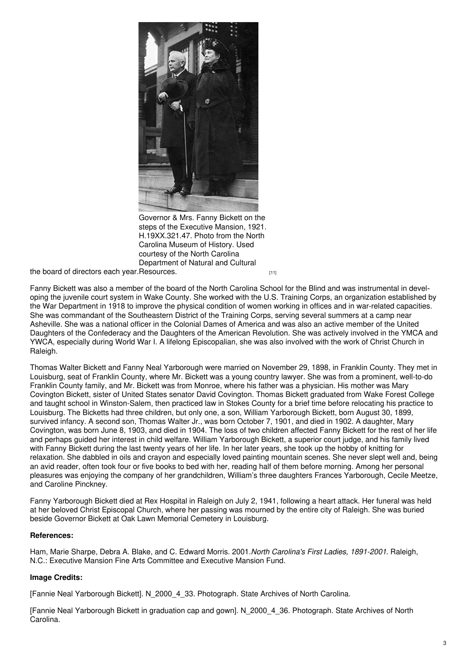

Governor & Mrs. Fanny Bickett on the steps of the Executive Mansion, 1921. H.19XX.321.47. Photo from the North Carolina Museum of History. Used courtesy of the North Carolina Department of Natural and Cultural

the board of directors each year.[Resources.](http://collections.ncdcr.gov/RediscoveryProficioPublicSearch/ShowImageView.aspx?24151+OBJECTS) The board of directors each year.Resources.

Fanny Bickett was also a member of the board of the North Carolina School for the Blind and was instrumental in devel‐ oping the juvenile court system in Wake County. She worked with the U.S. Training Corps, an organization established by the War Department in 1918 to improve the physical condition of women working in offices and in war-related capacities. She was commandant of the Southeastern District of the Training Corps, serving several summers at a camp near Asheville. She was a national officer in the Colonial Dames of America and was also an active member of the United Daughters of the Confederacy and the Daughters of the American Revolution. She was actively involved in the YMCA and YWCA, especially during World War I. A lifelong Episcopalian, she was also involved with the work of Christ Church in Raleigh.

Thomas Walter Bickett and Fanny Neal Yarborough were married on November 29, 1898, in Franklin County. They met in Louisburg, seat of Franklin County, where Mr. Bickett was a young country lawyer. She was from a prominent, well-to-do Franklin County family, and Mr. Bickett was from Monroe, where his father was a physician. His mother was Mary Covington Bickett, sister of United States senator David Covington. Thomas Bickett graduated from Wake Forest College and taught school in Winston-Salem, then practiced law in Stokes County for a brief time before relocating his practice to Louisburg. The Bicketts had three children, but only one, a son, William Yarborough Bickett, born August 30, 1899, survived infancy. A second son, Thomas Walter Jr., was born October 7, 1901, and died in 1902. A daughter, Mary Covington, was born June 8, 1903, and died in 1904. The loss of two children affected Fanny Bickett for the rest of her life and perhaps guided her interest in child welfare. William Yarborough Bickett, a superior court judge, and his family lived with Fanny Bickett during the last twenty years of her life. In her later years, she took up the hobby of knitting for relaxation. She dabbled in oils and crayon and especially loved painting mountain scenes. She never slept well and, being an avid reader, often took four or five books to bed with her, reading half of them before morning. Among her personal pleasures was enjoying the company of her grandchildren, William's three daughters Frances Yarborough, Cecile Meetze, and Caroline Pinckney.

Fanny Yarborough Bickett died at Rex Hospital in Raleigh on July 2, 1941, following a heart attack. Her funeral was held at her beloved Christ Episcopal Church, where her passing was mourned by the entire city of Raleigh. She was buried beside Governor Bickett at Oak Lawn Memorial Cemetery in Louisburg.

### **References:**

Ham, Marie Sharpe, Debra A. Blake, and C. Edward Morris. 2001.*North Carolina's First Ladies, 1891-2001*. Raleigh, N.C.: Executive Mansion Fine Arts Committee and Executive Mansion Fund.

### **Image Credits:**

[Fannie Neal Yarborough Bickett]. N\_2000\_4\_33. Photograph. State Archives of North Carolina.

[Fannie Neal Yarborough Bickett in graduation cap and gown]. N\_2000\_4\_36. Photograph. State Archives of North Carolina.